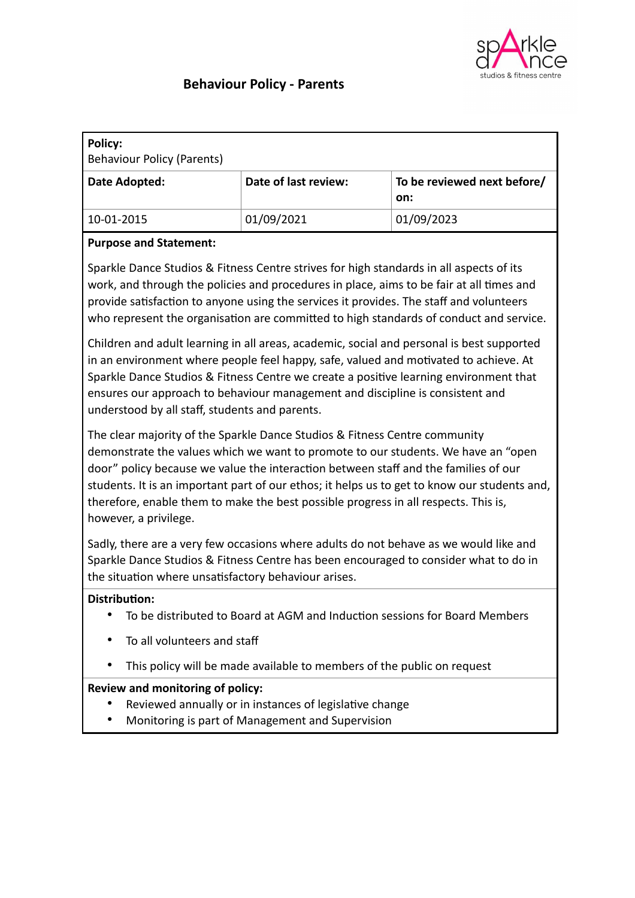

# **Behaviour Policy - Parents**

| Policy:<br>Behaviour Policy (Parents) |                      |                                    |
|---------------------------------------|----------------------|------------------------------------|
| Date Adopted:                         | Date of last review: | To be reviewed next before/<br>on: |
| 10-01-2015                            | 01/09/2021           | 01/09/2023                         |

### **Purpose and Statement:**

Sparkle Dance Studios & Fitness Centre strives for high standards in all aspects of its work, and through the policies and procedures in place, aims to be fair at all times and provide satisfaction to anyone using the services it provides. The staff and volunteers who represent the organisation are committed to high standards of conduct and service.

Children and adult learning in all areas, academic, social and personal is best supported in an environment where people feel happy, safe, valued and motivated to achieve. At Sparkle Dance Studios & Fitness Centre we create a positive learning environment that ensures our approach to behaviour management and discipline is consistent and understood by all staff, students and parents.

The clear majority of the Sparkle Dance Studios & Fitness Centre community demonstrate the values which we want to promote to our students. We have an "open door" policy because we value the interaction between staff and the families of our students. It is an important part of our ethos; it helps us to get to know our students and, therefore, enable them to make the best possible progress in all respects. This is, however, a privilege.

Sadly, there are a very few occasions where adults do not behave as we would like and Sparkle Dance Studios & Fitness Centre has been encouraged to consider what to do in the situation where unsatisfactory behaviour arises.

#### **Distribution:**

- To be distributed to Board at AGM and Induction sessions for Board Members
- To all volunteers and staff
- This policy will be made available to members of the public on request

# **Review and monitoring of policy:**

- Reviewed annually or in instances of legislative change
- Monitoring is part of Management and Supervision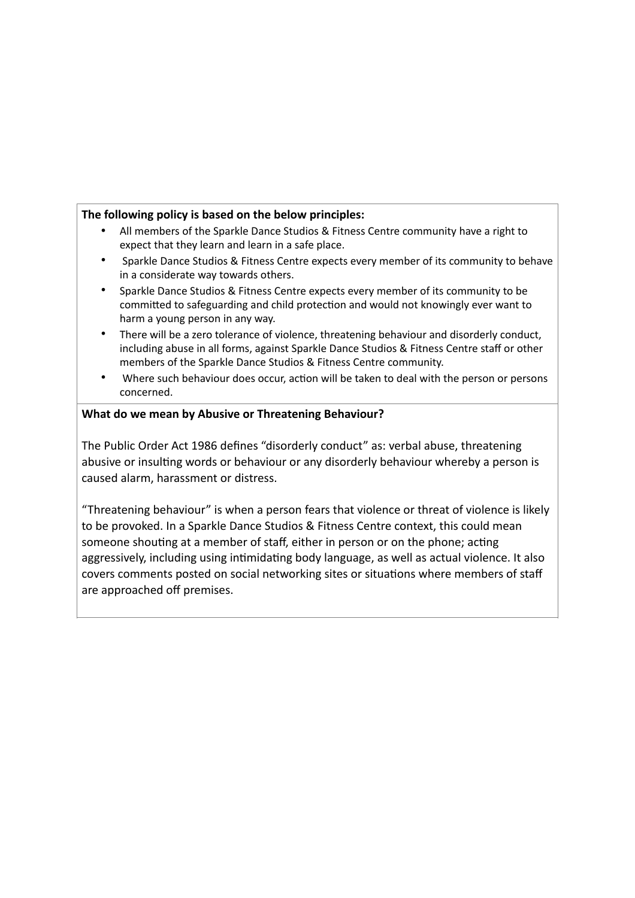#### **The following policy is based on the below principles:**

- All members of the Sparkle Dance Studios & Fitness Centre community have a right to expect that they learn and learn in a safe place.
- Sparkle Dance Studios & Fitness Centre expects every member of its community to behave in a considerate way towards others.
- Sparkle Dance Studios & Fitness Centre expects every member of its community to be committed to safeguarding and child protection and would not knowingly ever want to harm a young person in any way.
- There will be a zero tolerance of violence, threatening behaviour and disorderly conduct, including abuse in all forms, against Sparkle Dance Studios & Fitness Centre staff or other members of the Sparkle Dance Studios & Fitness Centre community.
- Where such behaviour does occur, action will be taken to deal with the person or persons concerned.

#### **What do we mean by Abusive or Threatening Behaviour?**

The Public Order Act 1986 defines "disorderly conduct" as: verbal abuse, threatening abusive or insulting words or behaviour or any disorderly behaviour whereby a person is caused alarm, harassment or distress.

"Threatening behaviour" is when a person fears that violence or threat of violence is likely to be provoked. In a Sparkle Dance Studios & Fitness Centre context, this could mean someone shouting at a member of staff, either in person or on the phone; acting aggressively, including using intimidating body language, as well as actual violence. It also covers comments posted on social networking sites or situations where members of staff are approached off premises.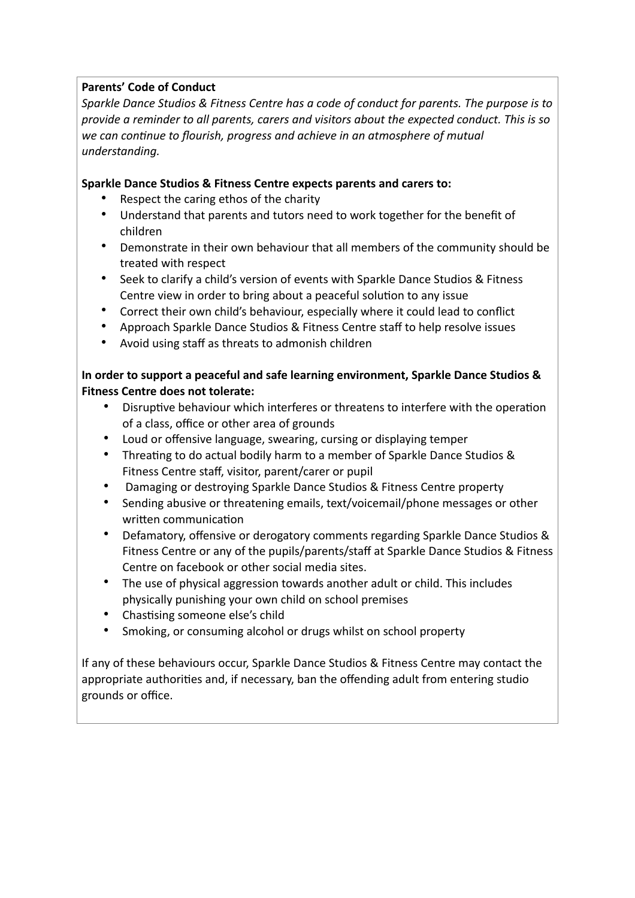# **Parents' Code of Conduct**

*Sparkle Dance Studios & Fitness Centre has a code of conduct for parents. The purpose is to provide a reminder to all parents, carers and visitors about the expected conduct. This is so we can continue to flourish, progress and achieve in an atmosphere of mutual understanding.*

# **Sparkle Dance Studios & Fitness Centre expects parents and carers to:**

- Respect the caring ethos of the charity
- Understand that parents and tutors need to work together for the benefit of children
- Demonstrate in their own behaviour that all members of the community should be treated with respect
- Seek to clarify a child's version of events with Sparkle Dance Studios & Fitness Centre view in order to bring about a peaceful solution to any issue
- Correct their own child's behaviour, especially where it could lead to conflict
- Approach Sparkle Dance Studios & Fitness Centre staff to help resolve issues
- Avoid using staff as threats to admonish children

# **In order to support a peaceful and safe learning environment, Sparkle Dance Studios & Fitness Centre does not tolerate:**

- Disruptive behaviour which interferes or threatens to interfere with the operation of a class, office or other area of grounds
- Loud or offensive language, swearing, cursing or displaying temper
- Threating to do actual bodily harm to a member of Sparkle Dance Studios & Fitness Centre staff, visitor, parent/carer or pupil
- Damaging or destroying Sparkle Dance Studios & Fitness Centre property
- Sending abusive or threatening emails, text/voicemail/phone messages or other written communication
- Defamatory, offensive or derogatory comments regarding Sparkle Dance Studios & Fitness Centre or any of the pupils/parents/staff at Sparkle Dance Studios & Fitness Centre on facebook or other social media sites.
- The use of physical aggression towards another adult or child. This includes physically punishing your own child on school premises
- Chastising someone else's child
- Smoking, or consuming alcohol or drugs whilst on school property

If any of these behaviours occur, Sparkle Dance Studios & Fitness Centre may contact the appropriate authorities and, if necessary, ban the offending adult from entering studio grounds or office.